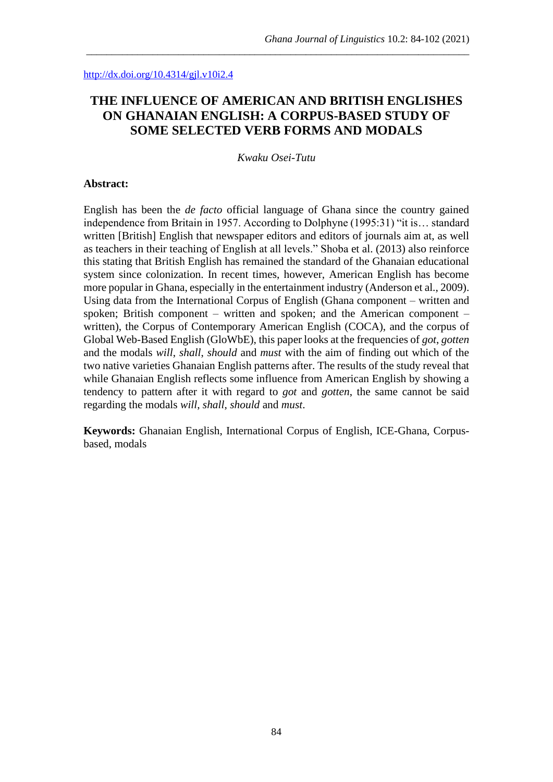#### <http://dx.doi.org/10.4314/gjl.v10i2.4>

# **THE INFLUENCE OF AMERICAN AND BRITISH ENGLISHES ON GHANAIAN ENGLISH: A CORPUS-BASED STUDY OF SOME SELECTED VERB FORMS AND MODALS**

\_\_\_\_\_\_\_\_\_\_\_\_\_\_\_\_\_\_\_\_\_\_\_\_\_\_\_\_\_\_\_\_\_\_\_\_\_\_\_\_\_\_\_\_\_\_\_\_\_\_\_\_\_\_\_\_\_\_\_\_\_\_\_\_\_\_\_\_\_\_\_\_\_\_\_

*Kwaku Osei-Tutu*

#### **Abstract:**

English has been the *de facto* official language of Ghana since the country gained independence from Britain in 1957. According to Dolphyne (1995:31) "it is... standard written [British] English that newspaper editors and editors of journals aim at, as well as teachers in their teaching of English at all levels." Shoba et al. (2013) also reinforce this stating that British English has remained the standard of the Ghanaian educational system since colonization. In recent times, however, American English has become more popular in Ghana, especially in the entertainment industry (Anderson et al., 2009). Using data from the International Corpus of English (Ghana component – written and spoken; British component – written and spoken; and the American component – written), the Corpus of Contemporary American English (COCA), and the corpus of Global Web-Based English (GloWbE), this paper looks at the frequencies of *got*, *gotten* and the modals *will*, *shall*, *should* and *must* with the aim of finding out which of the two native varieties Ghanaian English patterns after. The results of the study reveal that while Ghanaian English reflects some influence from American English by showing a tendency to pattern after it with regard to *got* and *gotten*, the same cannot be said regarding the modals *will*, *shall*, *should* and *must*.

**Keywords:** Ghanaian English, International Corpus of English, ICE-Ghana, Corpusbased, modals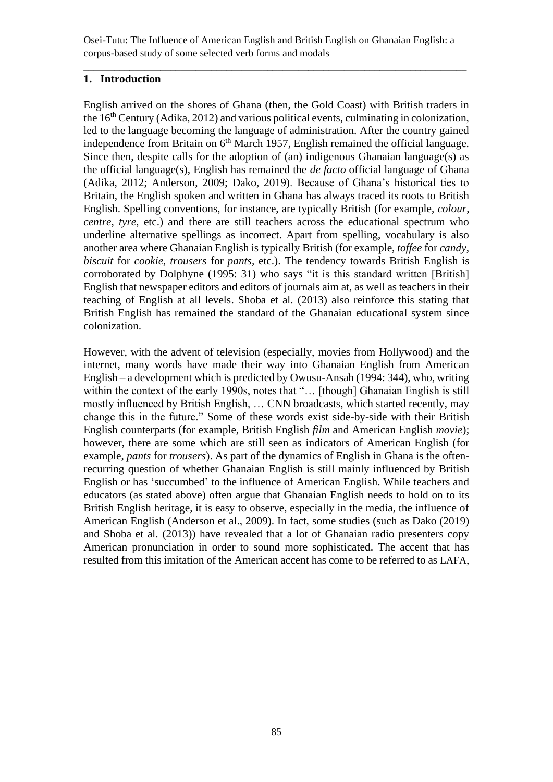\_\_\_\_\_\_\_\_\_\_\_\_\_\_\_\_\_\_\_\_\_\_\_\_\_\_\_\_\_\_\_\_\_\_\_\_\_\_\_\_\_\_\_\_\_\_\_\_\_\_\_\_\_\_\_\_\_\_\_\_\_\_\_\_\_\_\_\_\_\_\_\_\_\_\_

# **1. Introduction**

English arrived on the shores of Ghana (then, the Gold Coast) with British traders in the  $16<sup>th</sup>$  Century (Adika, 2012) and various political events, culminating in colonization, led to the language becoming the language of administration. After the country gained independence from Britain on  $6<sup>th</sup>$  March 1957, English remained the official language. Since then, despite calls for the adoption of (an) indigenous Ghanaian language(s) as the official language(s), English has remained the *de facto* official language of Ghana (Adika, 2012; Anderson, 2009; Dako, 2019). Because of Ghana's historical ties to Britain, the English spoken and written in Ghana has always traced its roots to British English. Spelling conventions, for instance, are typically British (for example, *colour*, *centre*, *tyre*, etc.) and there are still teachers across the educational spectrum who underline alternative spellings as incorrect. Apart from spelling, vocabulary is also another area where Ghanaian English is typically British (for example, *toffee* for *candy*, *biscuit* for *cookie*, *trousers* for *pants,* etc.). The tendency towards British English is corroborated by Dolphyne (1995: 31) who says "it is this standard written [British] English that newspaper editors and editors of journals aim at, as well as teachers in their teaching of English at all levels. Shoba et al. (2013) also reinforce this stating that British English has remained the standard of the Ghanaian educational system since colonization.

However, with the advent of television (especially, movies from Hollywood) and the internet, many words have made their way into Ghanaian English from American English – a development which is predicted by Owusu-Ansah (1994: 344), who, writing within the context of the early 1990s, notes that "... [though] Ghanaian English is still mostly influenced by British English, … CNN broadcasts, which started recently, may change this in the future." Some of these words exist side-by-side with their British English counterparts (for example, British English *film* and American English *movie*); however, there are some which are still seen as indicators of American English (for example, *pants* for *trousers*). As part of the dynamics of English in Ghana is the oftenrecurring question of whether Ghanaian English is still mainly influenced by British English or has 'succumbed' to the influence of American English. While teachers and educators (as stated above) often argue that Ghanaian English needs to hold on to its British English heritage, it is easy to observe, especially in the media, the influence of American English (Anderson et al., 2009). In fact, some studies (such as Dako (2019) and Shoba et al. (2013)) have revealed that a lot of Ghanaian radio presenters copy American pronunciation in order to sound more sophisticated. The accent that has resulted from this imitation of the American accent has come to be referred to as LAFA,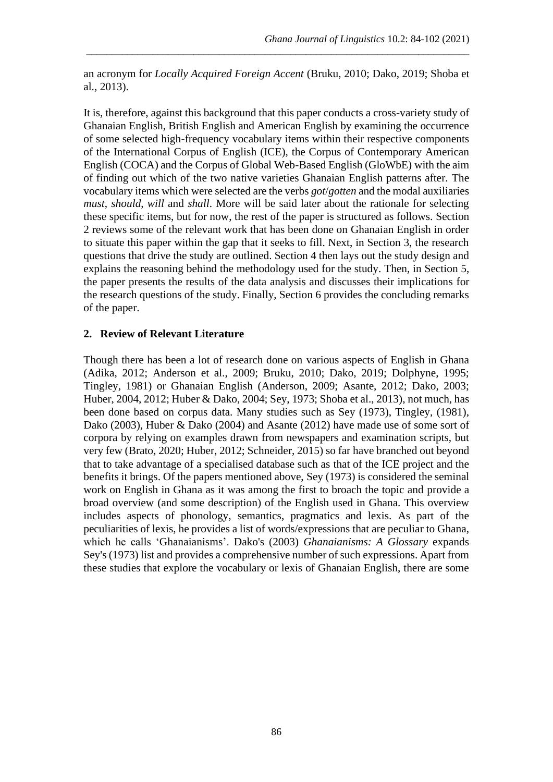an acronym for *Locally Acquired Foreign Accent* (Bruku, 2010; Dako, 2019; Shoba et al., 2013).

\_\_\_\_\_\_\_\_\_\_\_\_\_\_\_\_\_\_\_\_\_\_\_\_\_\_\_\_\_\_\_\_\_\_\_\_\_\_\_\_\_\_\_\_\_\_\_\_\_\_\_\_\_\_\_\_\_\_\_\_\_\_\_\_\_\_\_\_\_\_\_\_\_\_\_

It is, therefore, against this background that this paper conducts a cross-variety study of Ghanaian English, British English and American English by examining the occurrence of some selected high-frequency vocabulary items within their respective components of the International Corpus of English (ICE), the Corpus of Contemporary American English (COCA) and the Corpus of Global Web-Based English (GloWbE) with the aim of finding out which of the two native varieties Ghanaian English patterns after. The vocabulary items which were selected are the verbs *got*/*gotten* and the modal auxiliaries *must*, *should*, *will* and *shall*. More will be said later about the rationale for selecting these specific items, but for now, the rest of the paper is structured as follows. Section 2 reviews some of the relevant work that has been done on Ghanaian English in order to situate this paper within the gap that it seeks to fill. Next, in Section 3, the research questions that drive the study are outlined. Section 4 then lays out the study design and explains the reasoning behind the methodology used for the study. Then, in Section 5, the paper presents the results of the data analysis and discusses their implications for the research questions of the study. Finally, Section 6 provides the concluding remarks of the paper.

### **2. Review of Relevant Literature**

Though there has been a lot of research done on various aspects of English in Ghana (Adika, 2012; Anderson et al., 2009; Bruku, 2010; Dako, 2019; Dolphyne, 1995; Tingley, 1981) or Ghanaian English (Anderson, 2009; Asante, 2012; Dako, 2003; Huber, 2004, 2012; Huber & Dako, 2004; Sey, 1973; Shoba et al., 2013), not much, has been done based on corpus data. Many studies such as Sey (1973), Tingley, (1981), Dako (2003), Huber & Dako (2004) and Asante (2012) have made use of some sort of corpora by relying on examples drawn from newspapers and examination scripts, but very few (Brato, 2020; Huber, 2012; Schneider, 2015) so far have branched out beyond that to take advantage of a specialised database such as that of the ICE project and the benefits it brings. Of the papers mentioned above, Sey (1973) is considered the seminal work on English in Ghana as it was among the first to broach the topic and provide a broad overview (and some description) of the English used in Ghana. This overview includes aspects of phonology, semantics, pragmatics and lexis. As part of the peculiarities of lexis, he provides a list of words/expressions that are peculiar to Ghana, which he calls 'Ghanaianisms'. Dako's (2003) *Ghanaianisms: A Glossary* expands Sey's (1973) list and provides a comprehensive number of such expressions. Apart from these studies that explore the vocabulary or lexis of Ghanaian English, there are some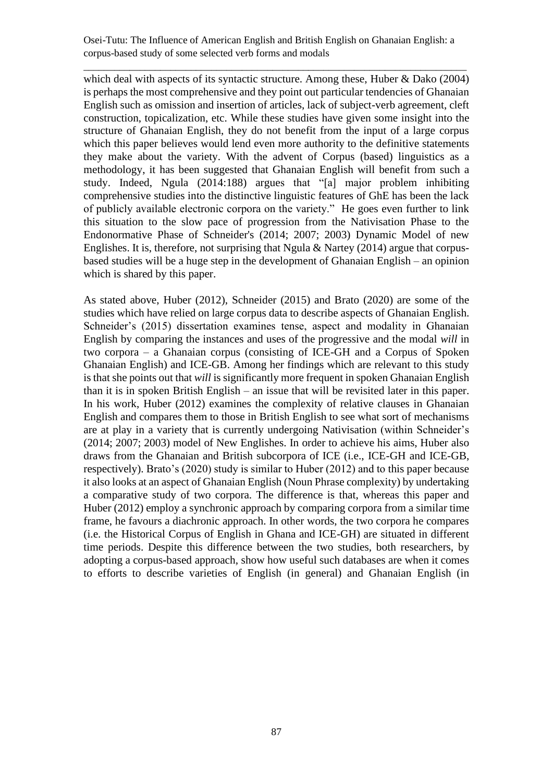\_\_\_\_\_\_\_\_\_\_\_\_\_\_\_\_\_\_\_\_\_\_\_\_\_\_\_\_\_\_\_\_\_\_\_\_\_\_\_\_\_\_\_\_\_\_\_\_\_\_\_\_\_\_\_\_\_\_\_\_\_\_\_\_\_\_\_\_\_\_\_\_\_\_\_

which deal with aspects of its syntactic structure. Among these, Huber & Dako (2004) is perhaps the most comprehensive and they point out particular tendencies of Ghanaian English such as omission and insertion of articles, lack of subject-verb agreement, cleft construction, topicalization, etc. While these studies have given some insight into the structure of Ghanaian English, they do not benefit from the input of a large corpus which this paper believes would lend even more authority to the definitive statements they make about the variety. With the advent of Corpus (based) linguistics as a methodology, it has been suggested that Ghanaian English will benefit from such a study. Indeed, Ngula (2014:188) argues that "[a] major problem inhibiting comprehensive studies into the distinctive linguistic features of GhE has been the lack of publicly available electronic corpora on the variety." He goes even further to link this situation to the slow pace of progression from the Nativisation Phase to the Endonormative Phase of Schneider's (2014; 2007; 2003) Dynamic Model of new Englishes. It is, therefore, not surprising that Ngula & Nartey (2014) argue that corpusbased studies will be a huge step in the development of Ghanaian English – an opinion which is shared by this paper.

As stated above, Huber (2012), Schneider (2015) and Brato (2020) are some of the studies which have relied on large corpus data to describe aspects of Ghanaian English. Schneider's (2015) dissertation examines tense, aspect and modality in Ghanaian English by comparing the instances and uses of the progressive and the modal *will* in two corpora – a Ghanaian corpus (consisting of ICE-GH and a Corpus of Spoken Ghanaian English) and ICE-GB. Among her findings which are relevant to this study is that she points out that *will* is significantly more frequent in spoken Ghanaian English than it is in spoken British English – an issue that will be revisited later in this paper. In his work, Huber (2012) examines the complexity of relative clauses in Ghanaian English and compares them to those in British English to see what sort of mechanisms are at play in a variety that is currently undergoing Nativisation (within Schneider's (2014; 2007; 2003) model of New Englishes. In order to achieve his aims, Huber also draws from the Ghanaian and British subcorpora of ICE (i.e., ICE-GH and ICE-GB, respectively). Brato's (2020) study is similar to Huber (2012) and to this paper because it also looks at an aspect of Ghanaian English (Noun Phrase complexity) by undertaking a comparative study of two corpora. The difference is that, whereas this paper and Huber (2012) employ a synchronic approach by comparing corpora from a similar time frame, he favours a diachronic approach. In other words, the two corpora he compares (i.e. the Historical Corpus of English in Ghana and ICE-GH) are situated in different time periods. Despite this difference between the two studies, both researchers, by adopting a corpus-based approach, show how useful such databases are when it comes to efforts to describe varieties of English (in general) and Ghanaian English (in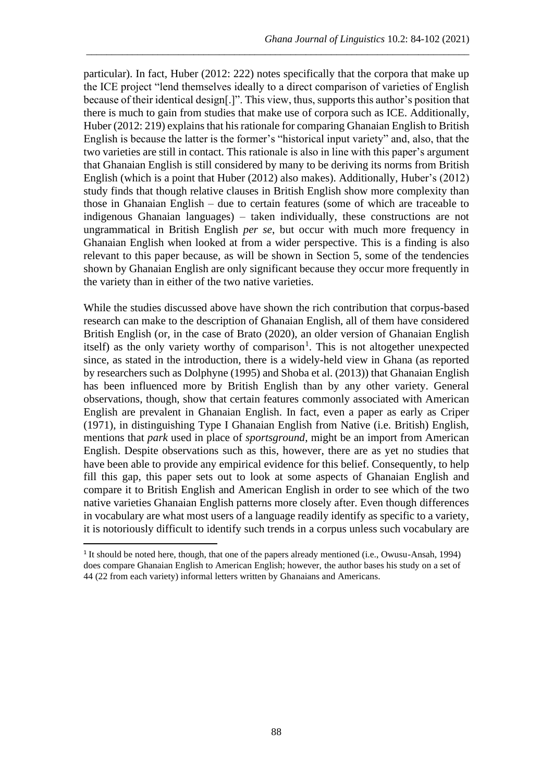particular). In fact, Huber (2012: 222) notes specifically that the corpora that make up the ICE project "lend themselves ideally to a direct comparison of varieties of English because of their identical design[.]". This view, thus, supports this author's position that there is much to gain from studies that make use of corpora such as ICE. Additionally, Huber (2012: 219) explains that his rationale for comparing Ghanaian English to British English is because the latter is the former's "historical input variety" and, also, that the two varieties are still in contact. This rationale is also in line with this paper's argument that Ghanaian English is still considered by many to be deriving its norms from British English (which is a point that Huber (2012) also makes). Additionally, Huber's (2012) study finds that though relative clauses in British English show more complexity than those in Ghanaian English – due to certain features (some of which are traceable to indigenous Ghanaian languages) – taken individually, these constructions are not ungrammatical in British English *per se*, but occur with much more frequency in Ghanaian English when looked at from a wider perspective. This is a finding is also relevant to this paper because, as will be shown in Section 5, some of the tendencies shown by Ghanaian English are only significant because they occur more frequently in the variety than in either of the two native varieties.

\_\_\_\_\_\_\_\_\_\_\_\_\_\_\_\_\_\_\_\_\_\_\_\_\_\_\_\_\_\_\_\_\_\_\_\_\_\_\_\_\_\_\_\_\_\_\_\_\_\_\_\_\_\_\_\_\_\_\_\_\_\_\_\_\_\_\_\_\_\_\_\_\_\_\_

While the studies discussed above have shown the rich contribution that corpus-based research can make to the description of Ghanaian English, all of them have considered British English (or, in the case of Brato (2020), an older version of Ghanaian English itself) as the only variety worthy of comparison<sup>1</sup>. This is not altogether unexpected since, as stated in the introduction, there is a widely-held view in Ghana (as reported by researchers such as Dolphyne (1995) and Shoba et al. (2013)) that Ghanaian English has been influenced more by British English than by any other variety. General observations, though, show that certain features commonly associated with American English are prevalent in Ghanaian English. In fact, even a paper as early as Criper (1971), in distinguishing Type I Ghanaian English from Native (i.e. British) English, mentions that *park* used in place of *sportsground*, might be an import from American English. Despite observations such as this, however, there are as yet no studies that have been able to provide any empirical evidence for this belief. Consequently, to help fill this gap, this paper sets out to look at some aspects of Ghanaian English and compare it to British English and American English in order to see which of the two native varieties Ghanaian English patterns more closely after. Even though differences in vocabulary are what most users of a language readily identify as specific to a variety, it is notoriously difficult to identify such trends in a corpus unless such vocabulary are

<sup>&</sup>lt;sup>1</sup> It should be noted here, though, that one of the papers already mentioned (i.e., Owusu-Ansah, 1994) does compare Ghanaian English to American English; however, the author bases his study on a set of 44 (22 from each variety) informal letters written by Ghanaians and Americans.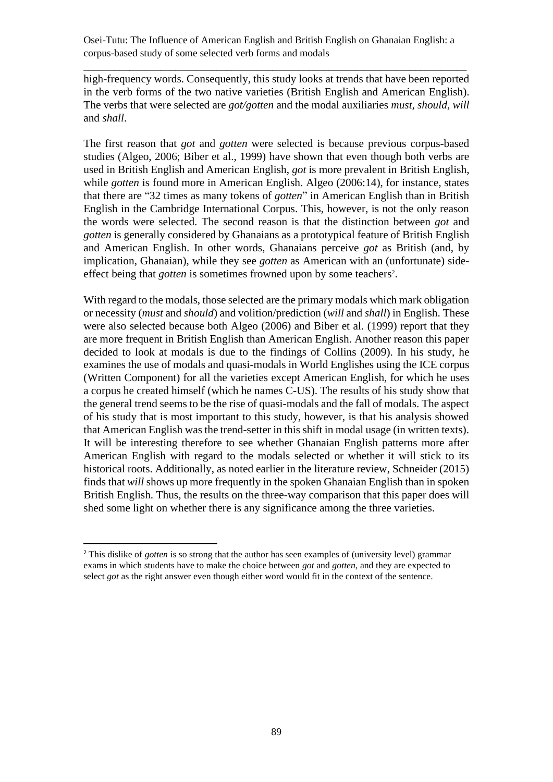high-frequency words. Consequently, this study looks at trends that have been reported in the verb forms of the two native varieties (British English and American English). The verbs that were selected are *got/gotten* and the modal auxiliaries *must, should, will*  and *shall*.

\_\_\_\_\_\_\_\_\_\_\_\_\_\_\_\_\_\_\_\_\_\_\_\_\_\_\_\_\_\_\_\_\_\_\_\_\_\_\_\_\_\_\_\_\_\_\_\_\_\_\_\_\_\_\_\_\_\_\_\_\_\_\_\_\_\_\_\_\_\_\_\_\_\_\_

The first reason that *got* and *gotten* were selected is because previous corpus-based studies (Algeo, 2006; Biber et al., 1999) have shown that even though both verbs are used in British English and American English, *got* is more prevalent in British English, while *gotten* is found more in American English. Algeo (2006:14), for instance, states that there are "32 times as many tokens of *gotten*" in American English than in British English in the Cambridge International Corpus. This, however, is not the only reason the words were selected. The second reason is that the distinction between *got* and *gotten* is generally considered by Ghanaians as a prototypical feature of British English and American English. In other words, Ghanaians perceive *got* as British (and, by implication, Ghanaian), while they see *gotten* as American with an (unfortunate) sideeffect being that *gotten* is sometimes frowned upon by some teachers<sup>2</sup>.

With regard to the modals, those selected are the primary modals which mark obligation or necessity (*must* and *should*) and volition/prediction (*will* and *shall*) in English. These were also selected because both Algeo (2006) and Biber et al. (1999) report that they are more frequent in British English than American English. Another reason this paper decided to look at modals is due to the findings of Collins (2009). In his study, he examines the use of modals and quasi-modals in World Englishes using the ICE corpus (Written Component) for all the varieties except American English, for which he uses a corpus he created himself (which he names C-US). The results of his study show that the general trend seems to be the rise of quasi-modals and the fall of modals. The aspect of his study that is most important to this study, however, is that his analysis showed that American English was the trend-setter in this shift in modal usage (in written texts). It will be interesting therefore to see whether Ghanaian English patterns more after American English with regard to the modals selected or whether it will stick to its historical roots. Additionally, as noted earlier in the literature review, Schneider (2015) finds that *will* shows up more frequently in the spoken Ghanaian English than in spoken British English. Thus, the results on the three-way comparison that this paper does will shed some light on whether there is any significance among the three varieties.

<sup>2</sup> This dislike of *gotten* is so strong that the author has seen examples of (university level) grammar exams in which students have to make the choice between *got* and *gotten*, and they are expected to select *got* as the right answer even though either word would fit in the context of the sentence.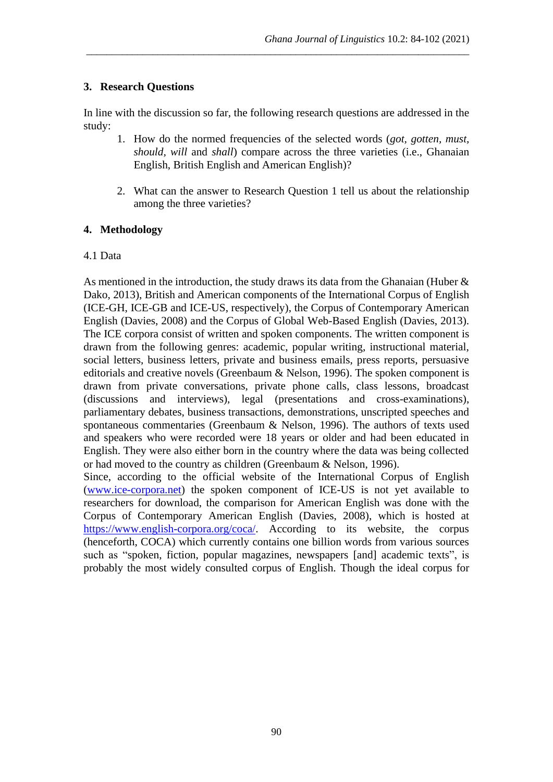## **3. Research Questions**

In line with the discussion so far, the following research questions are addressed in the study:

\_\_\_\_\_\_\_\_\_\_\_\_\_\_\_\_\_\_\_\_\_\_\_\_\_\_\_\_\_\_\_\_\_\_\_\_\_\_\_\_\_\_\_\_\_\_\_\_\_\_\_\_\_\_\_\_\_\_\_\_\_\_\_\_\_\_\_\_\_\_\_\_\_\_\_

- 1. How do the normed frequencies of the selected words (*got, gotten, must, should, will* and *shall*) compare across the three varieties (i.e., Ghanaian English, British English and American English)?
- 2. What can the answer to Research Question 1 tell us about the relationship among the three varieties?

### **4. Methodology**

### 4.1 Data

As mentioned in the introduction, the study draws its data from the Ghanaian (Huber & Dako, 2013), British and American components of the International Corpus of English (ICE-GH, ICE-GB and ICE-US, respectively), the Corpus of Contemporary American English (Davies, 2008) and the Corpus of Global Web-Based English (Davies, 2013). The ICE corpora consist of written and spoken components. The written component is drawn from the following genres: academic, popular writing, instructional material, social letters, business letters, private and business emails, press reports, persuasive editorials and creative novels (Greenbaum & Nelson, 1996). The spoken component is drawn from private conversations, private phone calls, class lessons, broadcast (discussions and interviews), legal (presentations and cross-examinations), parliamentary debates, business transactions, demonstrations, unscripted speeches and spontaneous commentaries (Greenbaum & Nelson, 1996). The authors of texts used and speakers who were recorded were 18 years or older and had been educated in English. They were also either born in the country where the data was being collected or had moved to the country as children (Greenbaum & Nelson, 1996).

Since, according to the official website of the International Corpus of English [\(www.ice-corpora.net\)](http://www.ice-corpora.net/) the spoken component of ICE-US is not yet available to researchers for download, the comparison for American English was done with the Corpus of Contemporary American English (Davies, 2008), which is hosted at [https://www.english-corpora.org/coca/.](https://www.english-corpora.org/coca/) According to its website, the corpus (henceforth, COCA) which currently contains one billion words from various sources such as "spoken, fiction, popular magazines, newspapers [and] academic texts", is probably the most widely consulted corpus of English. Though the ideal corpus for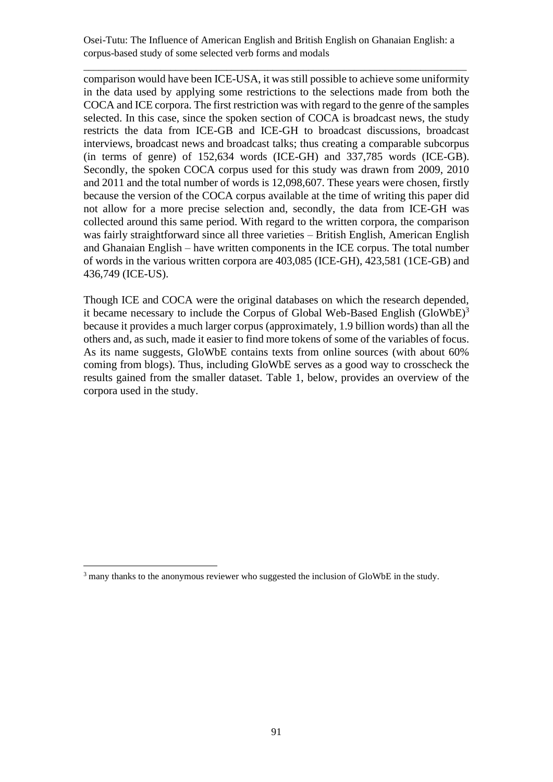\_\_\_\_\_\_\_\_\_\_\_\_\_\_\_\_\_\_\_\_\_\_\_\_\_\_\_\_\_\_\_\_\_\_\_\_\_\_\_\_\_\_\_\_\_\_\_\_\_\_\_\_\_\_\_\_\_\_\_\_\_\_\_\_\_\_\_\_\_\_\_\_\_\_\_

comparison would have been ICE-USA, it was still possible to achieve some uniformity in the data used by applying some restrictions to the selections made from both the COCA and ICE corpora. The first restriction was with regard to the genre of the samples selected. In this case, since the spoken section of COCA is broadcast news, the study restricts the data from ICE-GB and ICE-GH to broadcast discussions, broadcast interviews, broadcast news and broadcast talks; thus creating a comparable subcorpus (in terms of genre) of 152,634 words (ICE-GH) and 337,785 words (ICE-GB). Secondly, the spoken COCA corpus used for this study was drawn from 2009, 2010 and 2011 and the total number of words is 12,098,607. These years were chosen, firstly because the version of the COCA corpus available at the time of writing this paper did not allow for a more precise selection and, secondly, the data from ICE-GH was collected around this same period. With regard to the written corpora, the comparison was fairly straightforward since all three varieties – British English, American English and Ghanaian English – have written components in the ICE corpus. The total number of words in the various written corpora are 403,085 (ICE-GH), 423,581 (1CE-GB) and 436,749 (ICE-US).

Though ICE and COCA were the original databases on which the research depended, it became necessary to include the Corpus of Global Web-Based English (GloWbE)<sup>3</sup> because it provides a much larger corpus (approximately, 1.9 billion words) than all the others and, as such, made it easier to find more tokens of some of the variables of focus. As its name suggests, GloWbE contains texts from online sources (with about 60% coming from blogs). Thus, including GloWbE serves as a good way to crosscheck the results gained from the smaller dataset. Table 1, below, provides an overview of the corpora used in the study.

 $3$  many thanks to the anonymous reviewer who suggested the inclusion of GloWbE in the study.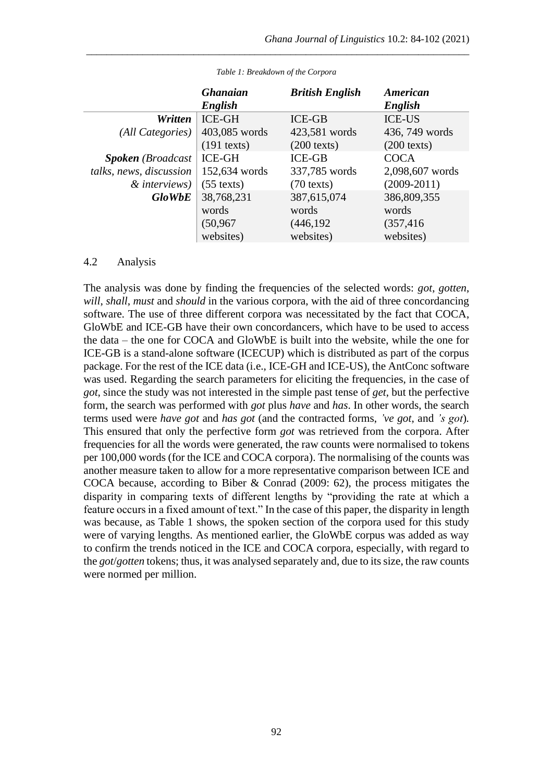|                          | <b>Ghanaian</b><br>English       | <b>British English</b>             | American<br>English                |
|--------------------------|----------------------------------|------------------------------------|------------------------------------|
| Written                  | <b>ICE-GH</b>                    | <b>ICE-GB</b>                      | <b>ICE-US</b>                      |
| (All Categories)         | 403,085 words                    | 423,581 words                      | 436, 749 words                     |
|                          | $(191$ texts)                    | $(200 \text{ texts})$              | $(200 \text{ texts})$              |
| <b>Spoken</b> (Broadcast | <b>ICE-GH</b>                    | <b>ICE-GB</b>                      | <b>COCA</b>                        |
| talks, news, discussion  | 152,634 words                    | 337,785 words                      | 2,098,607 words                    |
| $&$ interviews)          | $(55 \text{ texts})$             | $(70 \text{ texts})$               | $(2009-2011)$                      |
| <b>GloWbE</b>            | 38,768,231<br>words<br>(50, 967) | 387,615,074<br>words<br>(446, 192) | 386,809,355<br>words<br>(357, 416) |
|                          | websites)                        | websites)                          | websites)                          |

*Table 1: Breakdown of the Corpora*

\_\_\_\_\_\_\_\_\_\_\_\_\_\_\_\_\_\_\_\_\_\_\_\_\_\_\_\_\_\_\_\_\_\_\_\_\_\_\_\_\_\_\_\_\_\_\_\_\_\_\_\_\_\_\_\_\_\_\_\_\_\_\_\_\_\_\_\_\_\_\_\_\_\_\_

#### 4.2 Analysis

The analysis was done by finding the frequencies of the selected words: *got*, *gotten*, *will*, *shall*, *must* and *should* in the various corpora, with the aid of three concordancing software. The use of three different corpora was necessitated by the fact that COCA, GloWbE and ICE-GB have their own concordancers, which have to be used to access the data – the one for COCA and GloWbE is built into the website, while the one for ICE-GB is a stand-alone software (ICECUP) which is distributed as part of the corpus package. For the rest of the ICE data (i.e., ICE-GH and ICE-US), the AntConc software was used. Regarding the search parameters for eliciting the frequencies, in the case of *got*, since the study was not interested in the simple past tense of *get*, but the perfective form, the search was performed with *got* plus *have* and *has*. In other words, the search terms used were *have got* and *has got* (and the contracted forms, *'ve got*, and *'s got*)*.*  This ensured that only the perfective form *got* was retrieved from the corpora. After frequencies for all the words were generated, the raw counts were normalised to tokens per 100,000 words (for the ICE and COCA corpora). The normalising of the counts was another measure taken to allow for a more representative comparison between ICE and COCA because, according to Biber & Conrad (2009: 62), the process mitigates the disparity in comparing texts of different lengths by "providing the rate at which a feature occurs in a fixed amount of text." In the case of this paper, the disparity in length was because, as Table 1 shows, the spoken section of the corpora used for this study were of varying lengths. As mentioned earlier, the GloWbE corpus was added as way to confirm the trends noticed in the ICE and COCA corpora, especially, with regard to the *got*/*gotten* tokens; thus, it was analysed separately and, due to its size, the raw counts were normed per million.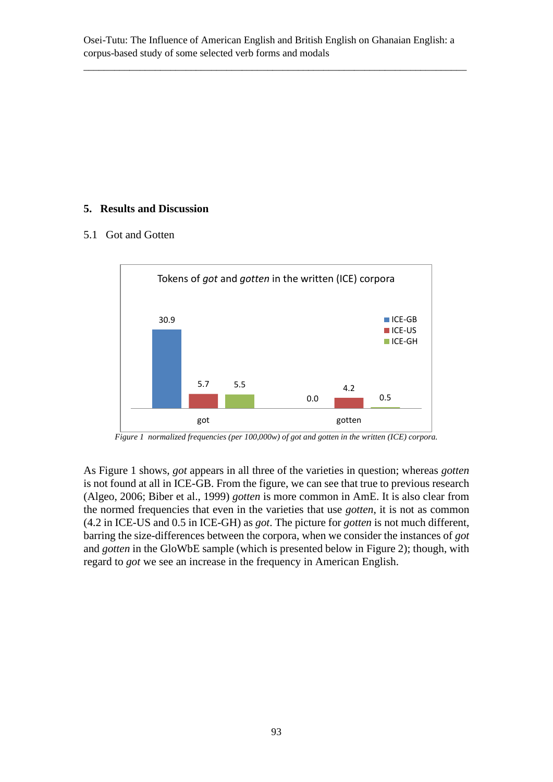\_\_\_\_\_\_\_\_\_\_\_\_\_\_\_\_\_\_\_\_\_\_\_\_\_\_\_\_\_\_\_\_\_\_\_\_\_\_\_\_\_\_\_\_\_\_\_\_\_\_\_\_\_\_\_\_\_\_\_\_\_\_\_\_\_\_\_\_\_\_\_\_\_\_\_

# **5. Results and Discussion**

#### 5.1 Got and Gotten



*Figure 1 normalized frequencies (per 100,000w) of got and gotten in the written (ICE) corpora.*

As Figure 1 shows, *got* appears in all three of the varieties in question; whereas *gotten* is not found at all in ICE-GB. From the figure, we can see that true to previous research (Algeo, 2006; Biber et al., 1999) *gotten* is more common in AmE. It is also clear from the normed frequencies that even in the varieties that use *gotten*, it is not as common (4.2 in ICE-US and 0.5 in ICE-GH) as *got*. The picture for *gotten* is not much different, barring the size-differences between the corpora, when we consider the instances of *got*  and *gotten* in the GloWbE sample (which is presented below in Figure 2); though, with regard to *got* we see an increase in the frequency in American English.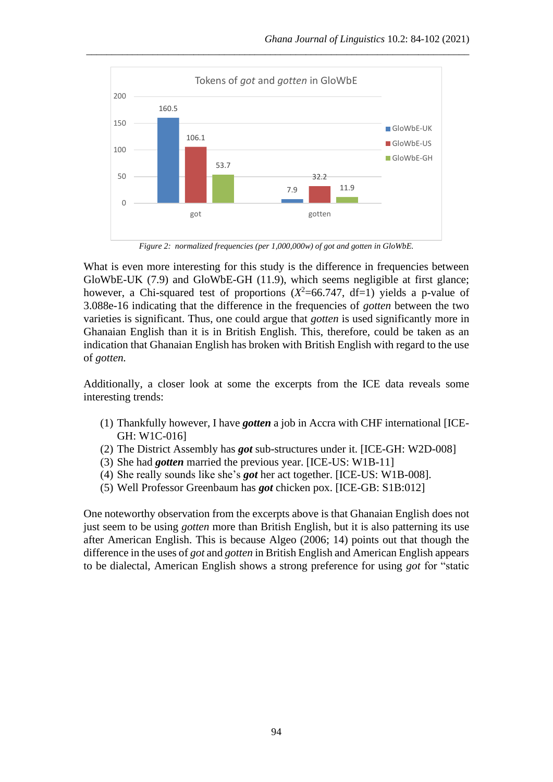

\_\_\_\_\_\_\_\_\_\_\_\_\_\_\_\_\_\_\_\_\_\_\_\_\_\_\_\_\_\_\_\_\_\_\_\_\_\_\_\_\_\_\_\_\_\_\_\_\_\_\_\_\_\_\_\_\_\_\_\_\_\_\_\_\_\_\_\_\_\_\_\_\_\_\_

*Figure 2: normalized frequencies (per 1,000,000w) of got and gotten in GloWbE.*

What is even more interesting for this study is the difference in frequencies between GloWbE-UK (7.9) and GloWbE-GH (11.9), which seems negligible at first glance; however, a Chi-squared test of proportions  $(X^2=66.747, df=1)$  yields a p-value of 3.088e-16 indicating that the difference in the frequencies of *gotten* between the two varieties is significant. Thus, one could argue that *gotten* is used significantly more in Ghanaian English than it is in British English. This, therefore, could be taken as an indication that Ghanaian English has broken with British English with regard to the use of *gotten.*

Additionally, a closer look at some the excerpts from the ICE data reveals some interesting trends:

- (1) Thankfully however, I have *gotten* a job in Accra with CHF international [ICE-GH: W1C-016]
- (2) The District Assembly has *got* sub-structures under it. [ICE-GH: W2D-008]
- (3) She had *gotten* married the previous year. [ICE-US: W1B-11]
- (4) She really sounds like she's *got* her act together. [ICE-US: W1B-008].
- (5) Well Professor Greenbaum has *got* chicken pox. [ICE-GB: S1B:012]

One noteworthy observation from the excerpts above is that Ghanaian English does not just seem to be using *gotten* more than British English, but it is also patterning its use after American English. This is because Algeo (2006; 14) points out that though the difference in the uses of *got* and *gotten* in British English and American English appears to be dialectal, American English shows a strong preference for using *got* for "static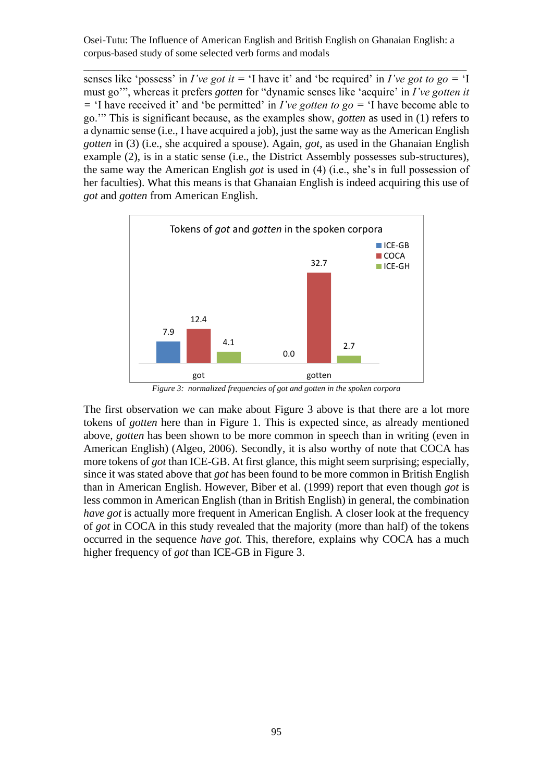\_\_\_\_\_\_\_\_\_\_\_\_\_\_\_\_\_\_\_\_\_\_\_\_\_\_\_\_\_\_\_\_\_\_\_\_\_\_\_\_\_\_\_\_\_\_\_\_\_\_\_\_\_\_\_\_\_\_\_\_\_\_\_\_\_\_\_\_\_\_\_\_\_\_\_

senses like 'possess' in *I've got it* = 'I have it' and 'be required' in *I've got to go* = 'I must go'", whereas it prefers *gotten* for "dynamic senses like 'acquire' in *I've gotten it =* 'I have received it' and 'be permitted' in *I've gotten to go =* 'I have become able to go.'" This is significant because, as the examples show, *gotten* as used in (1) refers to a dynamic sense (i.e., I have acquired a job), just the same way as the American English *gotten* in (3) (i.e., she acquired a spouse). Again, *got*, as used in the Ghanaian English example (2), is in a static sense (i.e., the District Assembly possesses sub-structures), the same way the American English *got* is used in (4) (i.e., she's in full possession of her faculties). What this means is that Ghanaian English is indeed acquiring this use of *got* and *gotten* from American English.



*Figure 3: normalized frequencies of got and gotten in the spoken corpora*

The first observation we can make about Figure 3 above is that there are a lot more tokens of *gotten* here than in Figure 1. This is expected since, as already mentioned above, *gotten* has been shown to be more common in speech than in writing (even in American English) (Algeo, 2006). Secondly, it is also worthy of note that COCA has more tokens of *got* than ICE-GB. At first glance, this might seem surprising; especially, since it was stated above that *got* has been found to be more common in British English than in American English. However, Biber et al. (1999) report that even though *got* is less common in American English (than in British English) in general, the combination *have got* is actually more frequent in American English. A closer look at the frequency of *got* in COCA in this study revealed that the majority (more than half) of the tokens occurred in the sequence *have got.* This, therefore, explains why COCA has a much higher frequency of *got* than ICE-GB in Figure 3.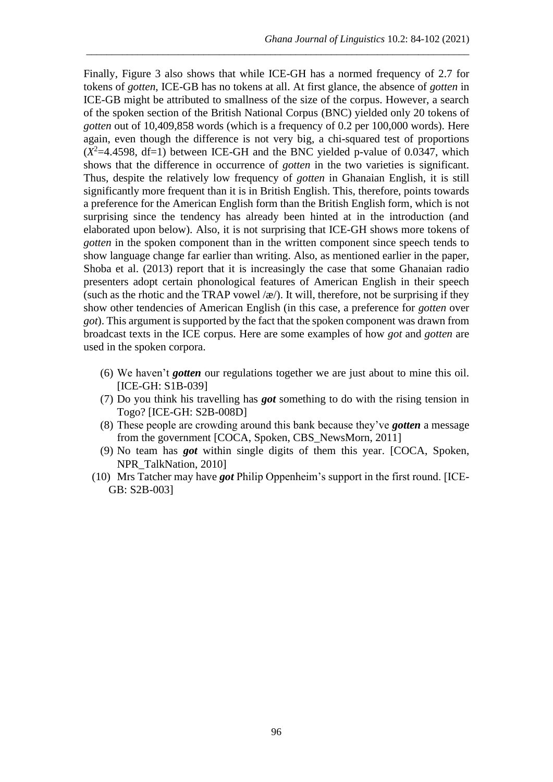Finally, Figure 3 also shows that while ICE-GH has a normed frequency of 2.7 for tokens of *gotten*, ICE-GB has no tokens at all. At first glance, the absence of *gotten* in ICE-GB might be attributed to smallness of the size of the corpus. However, a search of the spoken section of the British National Corpus (BNC) yielded only 20 tokens of *gotten* out of 10,409,858 words (which is a frequency of 0.2 per 100,000 words). Here again, even though the difference is not very big, a chi-squared test of proportions  $(X^2=4.4598, df=1)$  between ICE-GH and the BNC yielded p-value of 0.0347, which shows that the difference in occurrence of *gotten* in the two varieties is significant. Thus, despite the relatively low frequency of *gotten* in Ghanaian English, it is still significantly more frequent than it is in British English. This, therefore, points towards a preference for the American English form than the British English form, which is not surprising since the tendency has already been hinted at in the introduction (and elaborated upon below). Also, it is not surprising that ICE-GH shows more tokens of *gotten* in the spoken component than in the written component since speech tends to show language change far earlier than writing. Also, as mentioned earlier in the paper, Shoba et al. (2013) report that it is increasingly the case that some Ghanaian radio presenters adopt certain phonological features of American English in their speech (such as the rhotic and the TRAP vowel  $\alpha$ ). It will, therefore, not be surprising if they show other tendencies of American English (in this case, a preference for *gotten* over *got*). This argument is supported by the fact that the spoken component was drawn from broadcast texts in the ICE corpus. Here are some examples of how *got* and *gotten* are used in the spoken corpora.

\_\_\_\_\_\_\_\_\_\_\_\_\_\_\_\_\_\_\_\_\_\_\_\_\_\_\_\_\_\_\_\_\_\_\_\_\_\_\_\_\_\_\_\_\_\_\_\_\_\_\_\_\_\_\_\_\_\_\_\_\_\_\_\_\_\_\_\_\_\_\_\_\_\_\_

- (6) We haven't *gotten* our regulations together we are just about to mine this oil. [ICE-GH: S1B-039]
- (7) Do you think his travelling has *got* something to do with the rising tension in Togo? [ICE-GH: S2B-008D]
- (8) These people are crowding around this bank because they've *gotten* a message from the government [COCA, Spoken, CBS\_NewsMorn, 2011]
- (9) No team has *got* within single digits of them this year. [COCA, Spoken, NPR\_TalkNation, 2010]
- (10) Mrs Tatcher may have *got* Philip Oppenheim's support in the first round. [ICE-GB: S2B-003]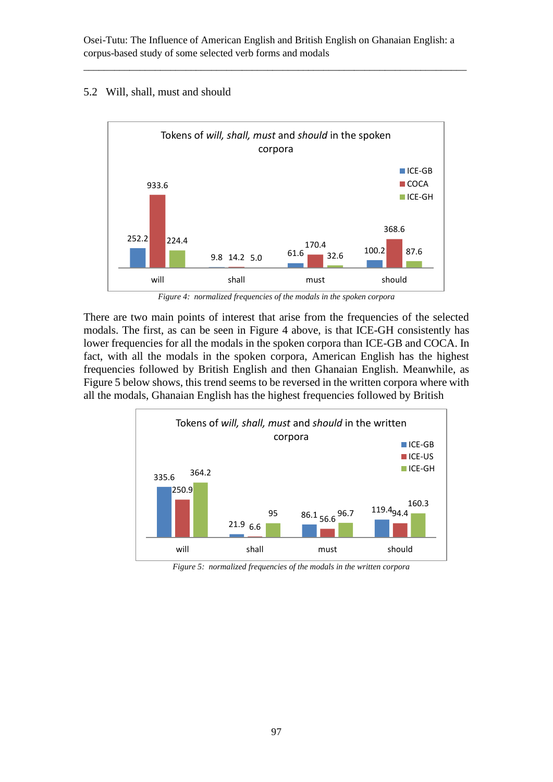\_\_\_\_\_\_\_\_\_\_\_\_\_\_\_\_\_\_\_\_\_\_\_\_\_\_\_\_\_\_\_\_\_\_\_\_\_\_\_\_\_\_\_\_\_\_\_\_\_\_\_\_\_\_\_\_\_\_\_\_\_\_\_\_\_\_\_\_\_\_\_\_\_\_\_

#### 5.2 Will, shall, must and should



*Figure 4: normalized frequencies of the modals in the spoken corpora*

There are two main points of interest that arise from the frequencies of the selected modals. The first, as can be seen in Figure 4 above, is that ICE-GH consistently has lower frequencies for all the modals in the spoken corpora than ICE-GB and COCA. In fact, with all the modals in the spoken corpora, American English has the highest frequencies followed by British English and then Ghanaian English. Meanwhile, as Figure 5 below shows, this trend seems to be reversed in the written corpora where with all the modals, Ghanaian English has the highest frequencies followed by British



*Figure 5: normalized frequencies of the modals in the written corpora*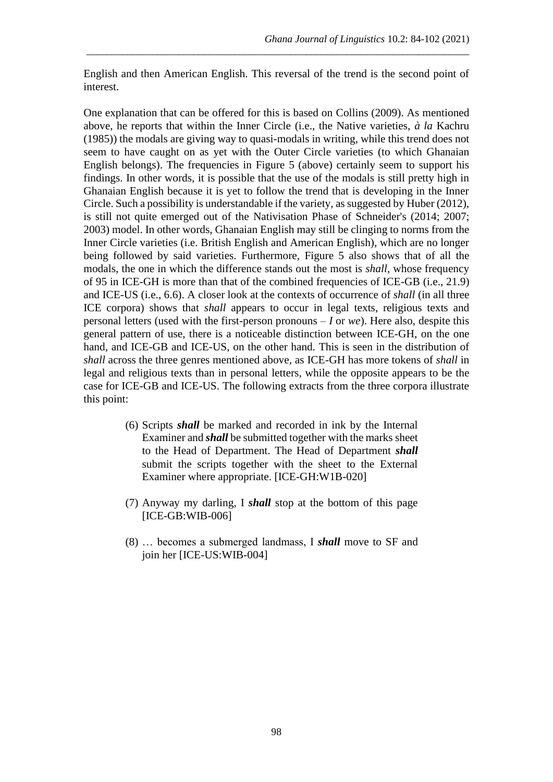English and then American English. This reversal of the trend is the second point of interest.

\_\_\_\_\_\_\_\_\_\_\_\_\_\_\_\_\_\_\_\_\_\_\_\_\_\_\_\_\_\_\_\_\_\_\_\_\_\_\_\_\_\_\_\_\_\_\_\_\_\_\_\_\_\_\_\_\_\_\_\_\_\_\_\_\_\_\_\_\_\_\_\_\_\_\_

One explanation that can be offered for this is based on Collins (2009). As mentioned above, he reports that within the Inner Circle (i.e., the Native varieties, *à la* Kachru (1985)) the modals are giving way to quasi-modals in writing, while this trend does not seem to have caught on as yet with the Outer Circle varieties (to which Ghanaian English belongs). The frequencies in Figure 5 (above) certainly seem to support his findings. In other words, it is possible that the use of the modals is still pretty high in Ghanaian English because it is yet to follow the trend that is developing in the Inner Circle. Such a possibility is understandable if the variety, as suggested by Huber (2012), is still not quite emerged out of the Nativisation Phase of Schneider's (2014; 2007; 2003) model. In other words, Ghanaian English may still be clinging to norms from the Inner Circle varieties (i.e. British English and American English), which are no longer being followed by said varieties. Furthermore, Figure 5 also shows that of all the modals, the one in which the difference stands out the most is *shall*, whose frequency of 95 in ICE-GH is more than that of the combined frequencies of ICE-GB (i.e., 21.9) and ICE-US (i.e., 6.6). A closer look at the contexts of occurrence of *shall* (in all three ICE corpora) shows that *shall* appears to occur in legal texts, religious texts and personal letters (used with the first-person pronouns – *I* or *we*). Here also, despite this general pattern of use, there is a noticeable distinction between ICE-GH, on the one hand, and ICE-GB and ICE-US, on the other hand. This is seen in the distribution of *shall* across the three genres mentioned above, as ICE-GH has more tokens of *shall* in legal and religious texts than in personal letters, while the opposite appears to be the case for ICE-GB and ICE-US. The following extracts from the three corpora illustrate this point:

- (6) Scripts *shall* be marked and recorded in ink by the Internal Examiner and *shall* be submitted together with the marks sheet to the Head of Department. The Head of Department *shall* submit the scripts together with the sheet to the External Examiner where appropriate. [ICE-GH:W1B-020]
- (7) Anyway my darling, I *shall* stop at the bottom of this page [ICE-GB:WIB-006]
- (8) … becomes a submerged landmass, I *shall* move to SF and join her [ICE-US:WIB-004]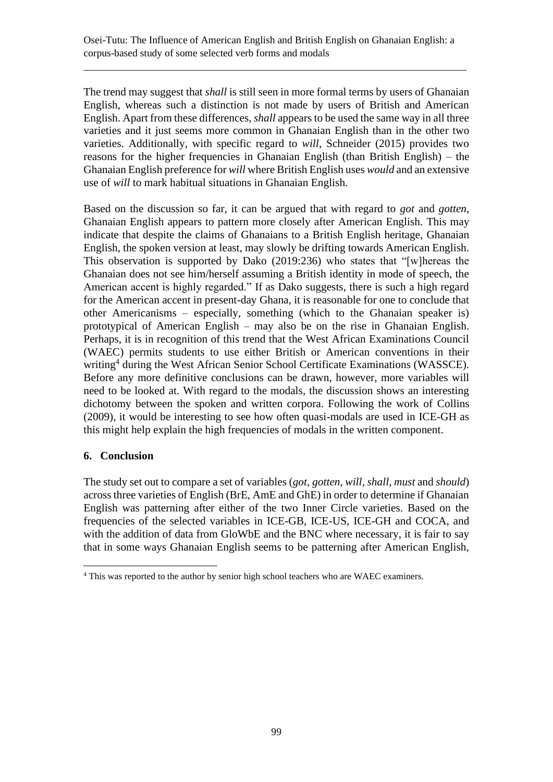\_\_\_\_\_\_\_\_\_\_\_\_\_\_\_\_\_\_\_\_\_\_\_\_\_\_\_\_\_\_\_\_\_\_\_\_\_\_\_\_\_\_\_\_\_\_\_\_\_\_\_\_\_\_\_\_\_\_\_\_\_\_\_\_\_\_\_\_\_\_\_\_\_\_\_

The trend may suggest that *shall* is still seen in more formal terms by users of Ghanaian English, whereas such a distinction is not made by users of British and American English. Apart from these differences, *shall* appears to be used the same way in all three varieties and it just seems more common in Ghanaian English than in the other two varieties. Additionally, with specific regard to *will*, Schneider (2015) provides two reasons for the higher frequencies in Ghanaian English (than British English) – the Ghanaian English preference for *will* where British English uses *would* and an extensive use of *will* to mark habitual situations in Ghanaian English.

Based on the discussion so far, it can be argued that with regard to *got* and *gotten*, Ghanaian English appears to pattern more closely after American English. This may indicate that despite the claims of Ghanaians to a British English heritage, Ghanaian English, the spoken version at least, may slowly be drifting towards American English. This observation is supported by Dako (2019:236) who states that "[w]hereas the Ghanaian does not see him/herself assuming a British identity in mode of speech, the American accent is highly regarded." If as Dako suggests, there is such a high regard for the American accent in present-day Ghana, it is reasonable for one to conclude that other Americanisms – especially, something (which to the Ghanaian speaker is) prototypical of American English – may also be on the rise in Ghanaian English. Perhaps, it is in recognition of this trend that the West African Examinations Council (WAEC) permits students to use either British or American conventions in their writing<sup>4</sup> during the West African Senior School Certificate Examinations (WASSCE). Before any more definitive conclusions can be drawn, however, more variables will need to be looked at. With regard to the modals, the discussion shows an interesting dichotomy between the spoken and written corpora. Following the work of Collins (2009), it would be interesting to see how often quasi-modals are used in ICE-GH as this might help explain the high frequencies of modals in the written component.

### **6. Conclusion**

The study set out to compare a set of variables (*got*, *gotten*, *will*, *shall*, *must* and *should*) across three varieties of English (BrE, AmE and GhE) in order to determine if Ghanaian English was patterning after either of the two Inner Circle varieties. Based on the frequencies of the selected variables in ICE-GB, ICE-US, ICE-GH and COCA, and with the addition of data from GloWbE and the BNC where necessary, it is fair to say that in some ways Ghanaian English seems to be patterning after American English,

<sup>&</sup>lt;sup>4</sup> This was reported to the author by senior high school teachers who are WAEC examiners.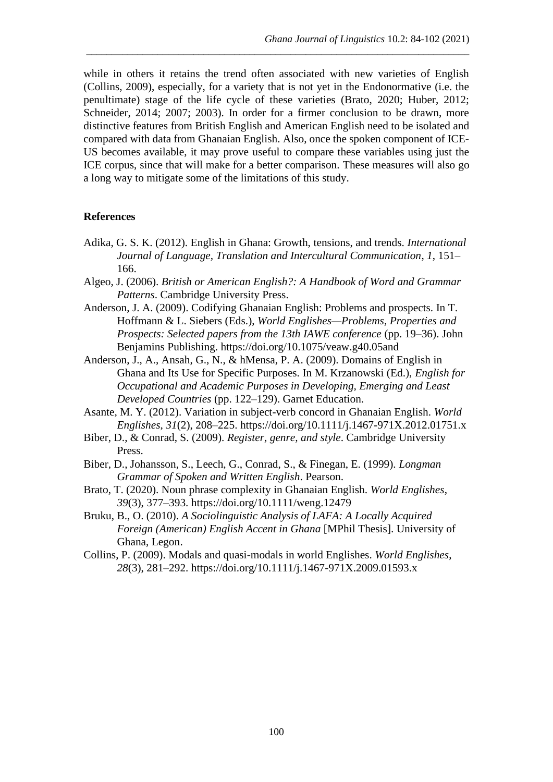while in others it retains the trend often associated with new varieties of English (Collins, 2009), especially, for a variety that is not yet in the Endonormative (i.e. the penultimate) stage of the life cycle of these varieties (Brato, 2020; Huber, 2012; Schneider, 2014; 2007; 2003). In order for a firmer conclusion to be drawn, more distinctive features from British English and American English need to be isolated and compared with data from Ghanaian English. Also, once the spoken component of ICE-US becomes available, it may prove useful to compare these variables using just the ICE corpus, since that will make for a better comparison. These measures will also go a long way to mitigate some of the limitations of this study.

\_\_\_\_\_\_\_\_\_\_\_\_\_\_\_\_\_\_\_\_\_\_\_\_\_\_\_\_\_\_\_\_\_\_\_\_\_\_\_\_\_\_\_\_\_\_\_\_\_\_\_\_\_\_\_\_\_\_\_\_\_\_\_\_\_\_\_\_\_\_\_\_\_\_\_

#### **References**

- Adika, G. S. K. (2012). English in Ghana: Growth, tensions, and trends. *International Journal of Language, Translation and Intercultural Communication*, *1*, 151– 166.
- Algeo, J. (2006). *British or American English?: A Handbook of Word and Grammar Patterns*. Cambridge University Press.
- Anderson, J. A. (2009). Codifying Ghanaian English: Problems and prospects. In T. Hoffmann & L. Siebers (Eds.), *World Englishes—Problems, Properties and Prospects: Selected papers from the 13th IAWE conference* (pp. 19–36). John Benjamins Publishing. https://doi.org/10.1075/veaw.g40.05and
- Anderson, J., A., Ansah, G., N., & hMensa, P. A. (2009). Domains of English in Ghana and Its Use for Specific Purposes. In M. Krzanowski (Ed.), *English for Occupational and Academic Purposes in Developing, Emerging and Least Developed Countries* (pp. 122–129). Garnet Education.
- Asante, M. Y. (2012). Variation in subject-verb concord in Ghanaian English. *World Englishes*, *31*(2), 208–225. https://doi.org/10.1111/j.1467-971X.2012.01751.x
- Biber, D., & Conrad, S. (2009). *Register, genre, and style*. Cambridge University Press.
- Biber, D., Johansson, S., Leech, G., Conrad, S., & Finegan, E. (1999). *Longman Grammar of Spoken and Written English*. Pearson.
- Brato, T. (2020). Noun phrase complexity in Ghanaian English. *World Englishes*, *39*(3), 377–393. https://doi.org/10.1111/weng.12479
- Bruku, B., O. (2010). *A Sociolinguistic Analysis of LAFA: A Locally Acquired Foreign (American) English Accent in Ghana* [MPhil Thesis]. University of Ghana, Legon.
- Collins, P. (2009). Modals and quasi-modals in world Englishes. *World Englishes*, *28*(3), 281–292. https://doi.org/10.1111/j.1467-971X.2009.01593.x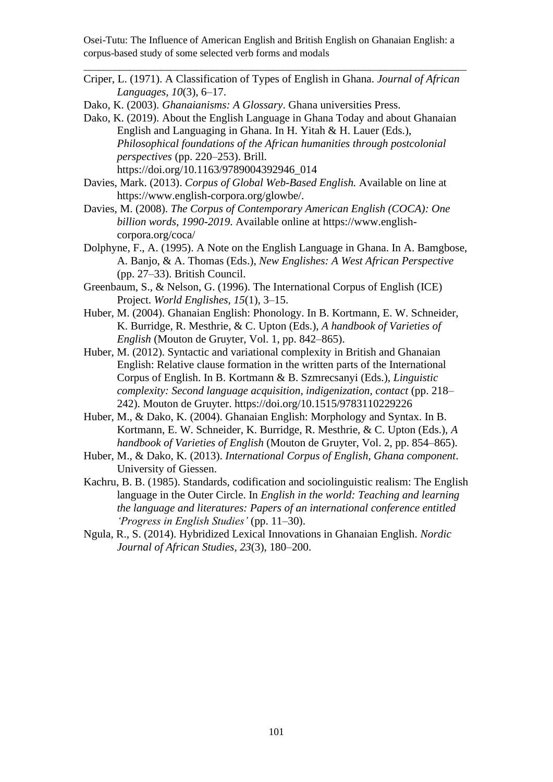Criper, L. (1971). A Classification of Types of English in Ghana. *Journal of African Languages*, *10*(3), 6–17.

\_\_\_\_\_\_\_\_\_\_\_\_\_\_\_\_\_\_\_\_\_\_\_\_\_\_\_\_\_\_\_\_\_\_\_\_\_\_\_\_\_\_\_\_\_\_\_\_\_\_\_\_\_\_\_\_\_\_\_\_\_\_\_\_\_\_\_\_\_\_\_\_\_\_\_

Dako, K. (2003). *Ghanaianisms: A Glossary*. Ghana universities Press.

- Dako, K. (2019). About the English Language in Ghana Today and about Ghanaian English and Languaging in Ghana. In H. Yitah & H. Lauer (Eds.), *Philosophical foundations of the African humanities through postcolonial perspectives* (pp. 220–253). Brill. https://doi.org/10.1163/9789004392946\_014
- Davies, Mark. (2013). *Corpus of Global Web-Based English.* Available on line at https://www.english-corpora.org/glowbe/.
- Davies, M. (2008). *The Corpus of Contemporary American English (COCA): One billion words, 1990-2019*. Available online at https://www.englishcorpora.org/coca/
- Dolphyne, F., A. (1995). A Note on the English Language in Ghana. In A. Bamgbose, A. Banjo, & A. Thomas (Eds.), *New Englishes: A West African Perspective* (pp. 27–33). British Council.
- Greenbaum, S., & Nelson, G. (1996). The International Corpus of English (ICE) Project. *World Englishes*, *15*(1), 3–15.
- Huber, M. (2004). Ghanaian English: Phonology. In B. Kortmann, E. W. Schneider, K. Burridge, R. Mesthrie, & C. Upton (Eds.), *A handbook of Varieties of English* (Mouton de Gruyter, Vol. 1, pp. 842–865).
- Huber, M. (2012). Syntactic and variational complexity in British and Ghanaian English: Relative clause formation in the written parts of the International Corpus of English. In B. Kortmann & B. Szmrecsanyi (Eds.), *Linguistic complexity: Second language acquisition, indigenization, contact* (pp. 218– 242). Mouton de Gruyter. https://doi.org/10.1515/9783110229226
- Huber, M., & Dako, K. (2004). Ghanaian English: Morphology and Syntax. In B. Kortmann, E. W. Schneider, K. Burridge, R. Mesthrie, & C. Upton (Eds.), *A handbook of Varieties of English* (Mouton de Gruyter, Vol. 2, pp. 854–865).
- Huber, M., & Dako, K. (2013). *International Corpus of English, Ghana component*. University of Giessen.
- Kachru, B. B. (1985). Standards, codification and sociolinguistic realism: The English language in the Outer Circle. In *English in the world: Teaching and learning the language and literatures: Papers of an international conference entitled 'Progress in English Studies'* (pp. 11–30).
- Ngula, R., S. (2014). Hybridized Lexical Innovations in Ghanaian English. *Nordic Journal of African Studies*, *23*(3), 180–200.